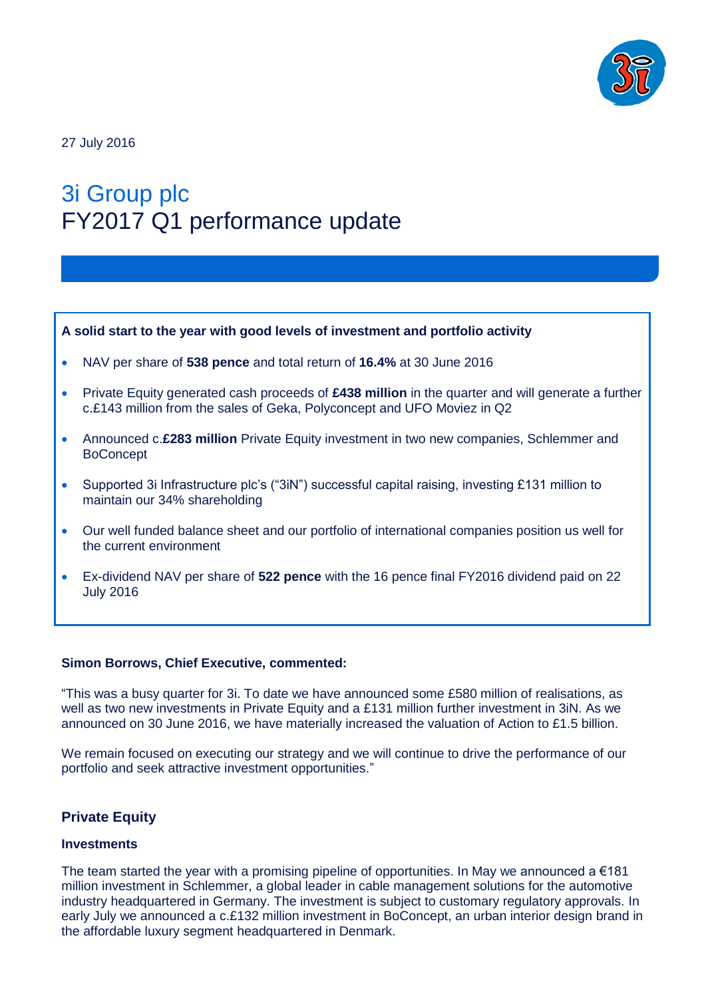

27 July 2016

# 3i Group plc FY2017 Q1 performance update

#### **A solid start to the year with good levels of investment and portfolio activity**

- NAV per share of **538 pence** and total return of **16.4%** at 30 June 2016
- Private Equity generated cash proceeds of **£438 million** in the quarter and will generate a further c.£143 million from the sales of Geka, Polyconcept and UFO Moviez in Q2
- Announced c.**£283 million** Private Equity investment in two new companies, Schlemmer and **BoConcept**
- Supported 3i Infrastructure plc's ("3iN") successful capital raising, investing £131 million to maintain our 34% shareholding
- Our well funded balance sheet and our portfolio of international companies position us well for the current environment
- Ex-dividend NAV per share of **522 pence** with the 16 pence final FY2016 dividend paid on 22 July 2016

#### **Simon Borrows, Chief Executive, commented:**

"This was a busy quarter for 3i. To date we have announced some £580 million of realisations, as well as two new investments in Private Equity and a £131 million further investment in 3iN. As we announced on 30 June 2016, we have materially increased the valuation of Action to £1.5 billion.

We remain focused on executing our strategy and we will continue to drive the performance of our portfolio and seek attractive investment opportunities."

## **Private Equity**

#### **Investments**

The team started the year with a promising pipeline of opportunities. In May we announced a  $\epsilon$ 181 million investment in Schlemmer, a global leader in cable management solutions for the automotive industry headquartered in Germany. The investment is subject to customary regulatory approvals. In early July we announced a c.£132 million investment in BoConcept, an urban interior design brand in the affordable luxury segment headquartered in Denmark.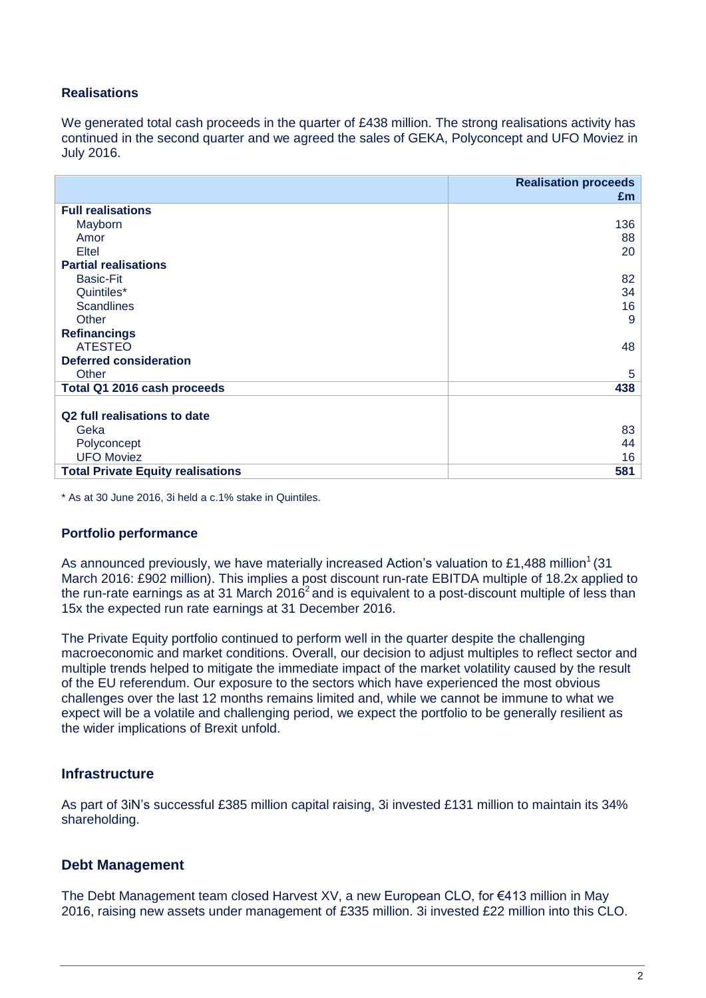## **Realisations**

We generated total cash proceeds in the quarter of £438 million. The strong realisations activity has continued in the second quarter and we agreed the sales of GEKA, Polyconcept and UFO Moviez in July 2016.

|                                          | <b>Realisation proceeds</b><br>£m |
|------------------------------------------|-----------------------------------|
| <b>Full realisations</b>                 |                                   |
| Mayborn                                  | 136                               |
| Amor                                     | 88                                |
| Eltel                                    | 20                                |
| <b>Partial realisations</b>              |                                   |
| <b>Basic-Fit</b>                         | 82                                |
| Quintiles*                               | 34                                |
| <b>Scandlines</b>                        | 16                                |
| Other                                    | 9                                 |
| <b>Refinancings</b>                      |                                   |
| <b>ATESTEO</b>                           | 48                                |
| <b>Deferred consideration</b>            |                                   |
| Other                                    | 5                                 |
| Total Q1 2016 cash proceeds              | 438                               |
|                                          |                                   |
| Q2 full realisations to date             |                                   |
| Geka                                     | 83                                |
| Polyconcept                              | 44                                |
| <b>UFO Moviez</b>                        | 16                                |
| <b>Total Private Equity realisations</b> | 581                               |

\* As at 30 June 2016, 3i held a c.1% stake in Quintiles.

#### **Portfolio performance**

As announced previously, we have materially increased Action's valuation to £1,488 million<sup>1</sup> (31 March 2016: £902 million). This implies a post discount run-rate EBITDA multiple of 18.2x applied to the run-rate earnings as at 31 March 2016<sup>2</sup> and is equivalent to a post-discount multiple of less than 15x the expected run rate earnings at 31 December 2016.

The Private Equity portfolio continued to perform well in the quarter despite the challenging macroeconomic and market conditions. Overall, our decision to adjust multiples to reflect sector and multiple trends helped to mitigate the immediate impact of the market volatility caused by the result of the EU referendum. Our exposure to the sectors which have experienced the most obvious challenges over the last 12 months remains limited and, while we cannot be immune to what we expect will be a volatile and challenging period, we expect the portfolio to be generally resilient as the wider implications of Brexit unfold.

## **Infrastructure**

As part of 3iN's successful £385 million capital raising, 3i invested £131 million to maintain its 34% shareholding.

## **Debt Management**

The Debt Management team closed Harvest XV, a new European CLO, for €413 million in May 2016, raising new assets under management of £335 million. 3i invested £22 million into this CLO.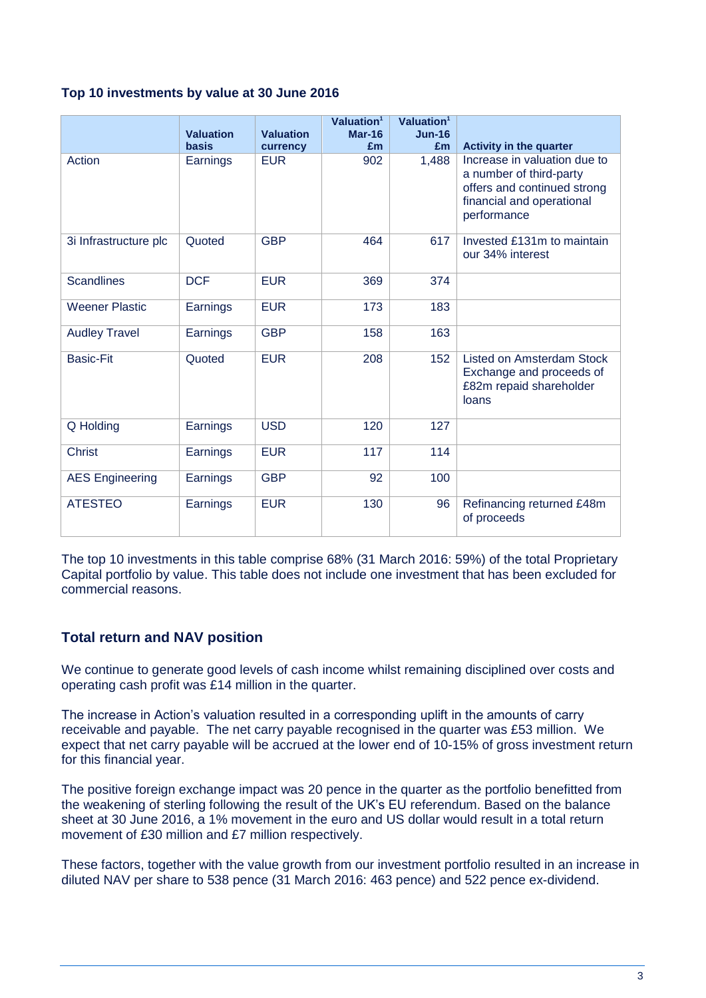## **Top 10 investments by value at 30 June 2016**

|                        | <b>Valuation</b> | <b>Valuation</b> | Valuation <sup>1</sup><br>Mar-16 | Valuation <sup>1</sup><br>$Jun-16$ |                                                                                                                                    |
|------------------------|------------------|------------------|----------------------------------|------------------------------------|------------------------------------------------------------------------------------------------------------------------------------|
|                        | <b>basis</b>     | currency         | £m                               | Em                                 | <b>Activity in the quarter</b>                                                                                                     |
| Action                 | Earnings         | <b>EUR</b>       | 902                              | 1,488                              | Increase in valuation due to<br>a number of third-party<br>offers and continued strong<br>financial and operational<br>performance |
| 3i Infrastructure plc  | Quoted           | <b>GBP</b>       | 464                              | 617                                | Invested £131m to maintain<br>our 34% interest                                                                                     |
| <b>Scandlines</b>      | <b>DCF</b>       | <b>EUR</b>       | 369                              | 374                                |                                                                                                                                    |
| <b>Weener Plastic</b>  | Earnings         | <b>EUR</b>       | 173                              | 183                                |                                                                                                                                    |
| <b>Audley Travel</b>   | Earnings         | <b>GBP</b>       | 158                              | 163                                |                                                                                                                                    |
| <b>Basic-Fit</b>       | Quoted           | <b>EUR</b>       | 208                              | 152                                | <b>Listed on Amsterdam Stock</b><br>Exchange and proceeds of<br>£82m repaid shareholder<br>loans                                   |
| Q Holding              | Earnings         | <b>USD</b>       | 120                              | 127                                |                                                                                                                                    |
| <b>Christ</b>          | Earnings         | <b>EUR</b>       | 117                              | 114                                |                                                                                                                                    |
| <b>AES Engineering</b> | Earnings         | <b>GBP</b>       | 92                               | 100                                |                                                                                                                                    |
| <b>ATESTEO</b>         | Earnings         | <b>EUR</b>       | 130                              | 96                                 | Refinancing returned £48m<br>of proceeds                                                                                           |

The top 10 investments in this table comprise 68% (31 March 2016: 59%) of the total Proprietary Capital portfolio by value. This table does not include one investment that has been excluded for commercial reasons.

# **Total return and NAV position**

We continue to generate good levels of cash income whilst remaining disciplined over costs and operating cash profit was £14 million in the quarter.

The increase in Action's valuation resulted in a corresponding uplift in the amounts of carry receivable and payable. The net carry payable recognised in the quarter was £53 million. We expect that net carry payable will be accrued at the lower end of 10-15% of gross investment return for this financial year.

The positive foreign exchange impact was 20 pence in the quarter as the portfolio benefitted from the weakening of sterling following the result of the UK's EU referendum. Based on the balance sheet at 30 June 2016, a 1% movement in the euro and US dollar would result in a total return movement of £30 million and £7 million respectively.

These factors, together with the value growth from our investment portfolio resulted in an increase in diluted NAV per share to 538 pence (31 March 2016: 463 pence) and 522 pence ex-dividend.